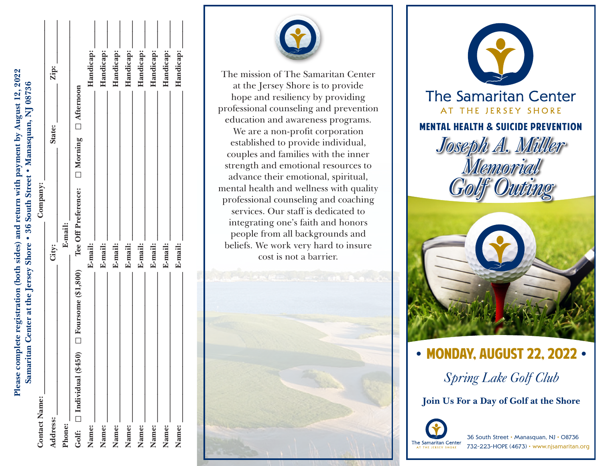Please complete registration (both sides) and return with payment by August 12, 2022 **Please complete registration (both sides) and return with payment by August 12, 2022** Samaritan Center at the Jersey Shore . 36 South Street . Manasquan, NJ 08736 **Samaritan Center at the Jersey Shore • 36 South Street • Manasquan, NJ 08736**

| <b>Contact Name:</b>                                      | Company: |                                                     |           |
|-----------------------------------------------------------|----------|-----------------------------------------------------|-----------|
| Address:                                                  | City:    | State:                                              | Zip:      |
| Phone:                                                    | E-mail:  |                                                     |           |
| Golf: $\Box$ Individual (\$450) $\Box$ Foursome (\$1,800) |          | Tee Off Preference: $\Box$ Morning $\Box$ Afternoon |           |
| Name:                                                     | E-mail:  |                                                     | Handicap: |
| Name:                                                     | E-mail:  |                                                     | Handicap: |
| Name:                                                     | E-mail:  |                                                     | Handicap: |
| Name:                                                     | E-mail:  |                                                     | Handicap: |
| Name:                                                     | E-mail:  |                                                     | Handicap: |
| Name:                                                     | E-mail:  |                                                     | Handicap: |
| Name:                                                     | E-mail:  |                                                     | Handicap: |
| Name:                                                     | E-mail:  |                                                     | Handicap: |
|                                                           |          |                                                     |           |



The mission of The Samaritan Center at the Jersey Shore is to provide hope and resiliency by providing professional counseling and prevention education and awareness programs. We are a non-profit corporation established to provide individual, couples and families with the inner strength and emotional resources to advance their emotional, spiritual, mental health and wellness with quality professional counseling and coaching services. Our staff is dedicated to integrating one's faith and honors people from all backgrounds and beliefs. We work very hard to insure cost is not a barrier.





**•** MONDAY, AUGUST 22, 2022 **•** *Spring Lake Golf Club*

**Join Us For a Day of Golf at the Shore**



36 South Street • Manasquan, NJ • 08736 732-223-HOPE (4673) • www.njsamaritan.org